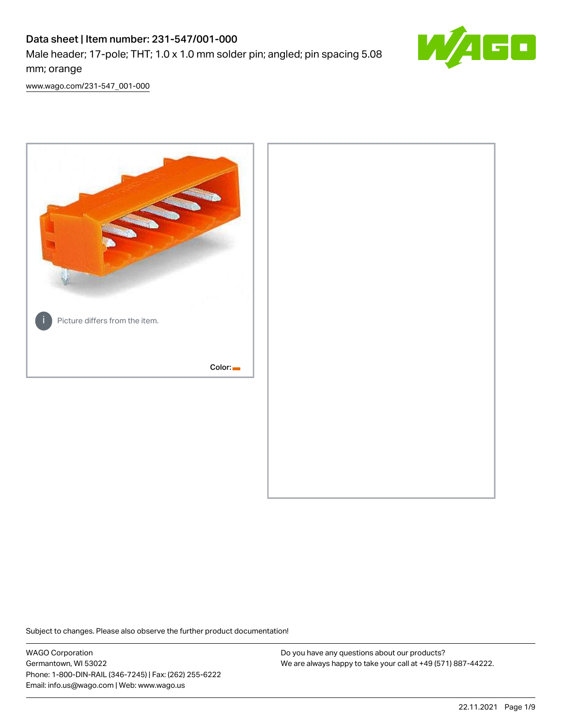# Data sheet | Item number: 231-547/001-000

Male header; 17-pole; THT; 1.0 x 1.0 mm solder pin; angled; pin spacing 5.08 mm; orange



[www.wago.com/231-547\\_001-000](http://www.wago.com/231-547_001-000)



Subject to changes. Please also observe the further product documentation!

WAGO Corporation Germantown, WI 53022 Phone: 1-800-DIN-RAIL (346-7245) | Fax: (262) 255-6222 Email: info.us@wago.com | Web: www.wago.us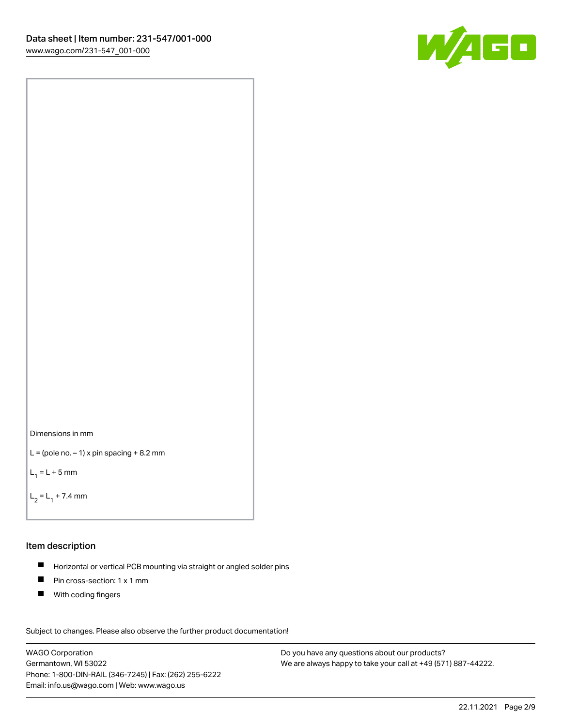



```
L = (pole no. -1) x pin spacing +8.2 mm
```
 $L_1 = L + 5$  mm

```
L_2 = L_1 + 7.4 mm
```
#### Item description

- Horizontal or vertical PCB mounting via straight or angled solder pins  $\blacksquare$
- $\blacksquare$ Pin cross-section: 1 x 1 mm
- **With coding fingers**

Subject to changes. Please also observe the further product documentation! Data

WAGO Corporation Germantown, WI 53022 Phone: 1-800-DIN-RAIL (346-7245) | Fax: (262) 255-6222 Email: info.us@wago.com | Web: www.wago.us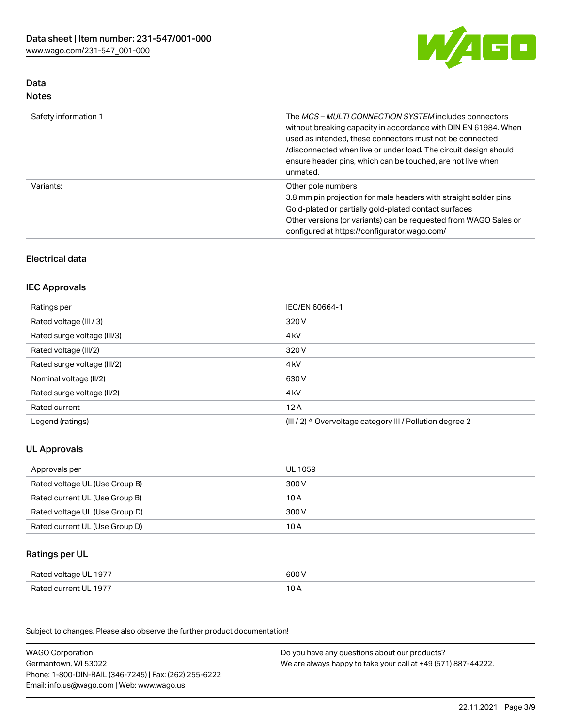

## Data Notes

| Safety information 1 | The <i>MCS – MULTI CONNECTION SYSTEM</i> includes connectors<br>without breaking capacity in accordance with DIN EN 61984. When<br>used as intended, these connectors must not be connected<br>/disconnected when live or under load. The circuit design should<br>ensure header pins, which can be touched, are not live when<br>unmated. |
|----------------------|--------------------------------------------------------------------------------------------------------------------------------------------------------------------------------------------------------------------------------------------------------------------------------------------------------------------------------------------|
| Variants:            | Other pole numbers<br>3.8 mm pin projection for male headers with straight solder pins<br>Gold-plated or partially gold-plated contact surfaces<br>Other versions (or variants) can be requested from WAGO Sales or<br>configured at https://configurator.wago.com/                                                                        |

# Electrical data

## IEC Approvals

| Ratings per                 | IEC/EN 60664-1                                                        |
|-----------------------------|-----------------------------------------------------------------------|
| Rated voltage (III / 3)     | 320 V                                                                 |
| Rated surge voltage (III/3) | 4 <sub>k</sub> V                                                      |
| Rated voltage (III/2)       | 320 V                                                                 |
| Rated surge voltage (III/2) | 4 <sub>k</sub> V                                                      |
| Nominal voltage (II/2)      | 630 V                                                                 |
| Rated surge voltage (II/2)  | 4 <sub>k</sub> V                                                      |
| Rated current               | 12A                                                                   |
| Legend (ratings)            | $(III / 2)$ $\triangle$ Overvoltage category III / Pollution degree 2 |

# UL Approvals

| Approvals per                  | UL 1059 |
|--------------------------------|---------|
| Rated voltage UL (Use Group B) | 300 V   |
| Rated current UL (Use Group B) | 10 A    |
| Rated voltage UL (Use Group D) | 300 V   |
| Rated current UL (Use Group D) | 10 A    |

## Ratings per UL

| Rated voltage UL 1977 | 600 V |
|-----------------------|-------|
| Rated current UL 1977 |       |

| <b>WAGO Corporation</b>                                | Do you have any questions about our products?                 |
|--------------------------------------------------------|---------------------------------------------------------------|
| Germantown, WI 53022                                   | We are always happy to take your call at +49 (571) 887-44222. |
| Phone: 1-800-DIN-RAIL (346-7245)   Fax: (262) 255-6222 |                                                               |
| Email: info.us@wago.com   Web: www.wago.us             |                                                               |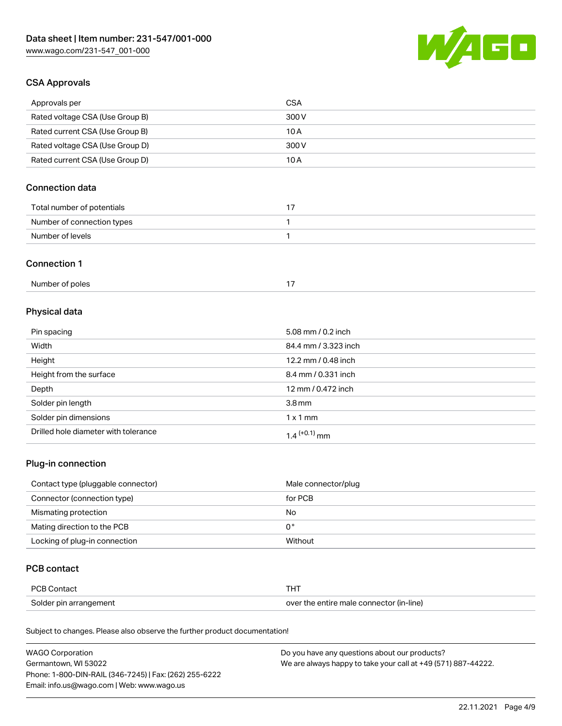

## CSA Approvals

| Approvals per                   | <b>CSA</b> |
|---------------------------------|------------|
| Rated voltage CSA (Use Group B) | 300 V      |
| Rated current CSA (Use Group B) | 10 A       |
| Rated voltage CSA (Use Group D) | 300 V      |
| Rated current CSA (Use Group D) | 10 A       |

# Connection data

| Total number of potentials |  |
|----------------------------|--|
| Number of connection types |  |
| Number of levels           |  |

#### Connection 1

| Number of poles |  |
|-----------------|--|
|                 |  |

# Physical data

| Pin spacing                          | 5.08 mm / $0.2$ inch       |
|--------------------------------------|----------------------------|
| Width                                | 84.4 mm / 3.323 inch       |
| Height                               | 12.2 mm / 0.48 inch        |
| Height from the surface              | 8.4 mm / 0.331 inch        |
| Depth                                | 12 mm / 0.472 inch         |
| Solder pin length                    | $3.8 \,\mathrm{mm}$        |
| Solder pin dimensions                | $1 \times 1$ mm            |
| Drilled hole diameter with tolerance | $1.4$ <sup>(+0.1)</sup> mm |

# Plug-in connection

| Contact type (pluggable connector) | Male connector/plug |
|------------------------------------|---------------------|
| Connector (connection type)        | for PCB             |
| Mismating protection               | No                  |
| Mating direction to the PCB        | 0°                  |
| Locking of plug-in connection      | Without             |

## PCB contact

| PCB Contact            |                                          |
|------------------------|------------------------------------------|
| Solder pin arrangement | over the entire male connector (in-line) |

| <b>WAGO Corporation</b>                                | Do you have any questions about our products?                 |
|--------------------------------------------------------|---------------------------------------------------------------|
| Germantown, WI 53022                                   | We are always happy to take your call at +49 (571) 887-44222. |
| Phone: 1-800-DIN-RAIL (346-7245)   Fax: (262) 255-6222 |                                                               |
| Email: info.us@wago.com   Web: www.wago.us             |                                                               |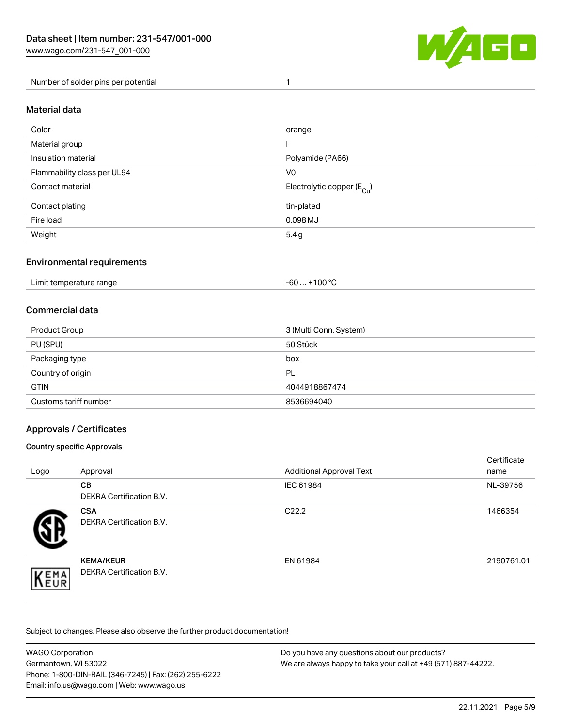

Number of solder pins per potential 1

#### Material data

| Color                       | orange                                 |
|-----------------------------|----------------------------------------|
| Material group              |                                        |
| Insulation material         | Polyamide (PA66)                       |
| Flammability class per UL94 | V <sub>0</sub>                         |
| Contact material            | Electrolytic copper (E <sub>Cu</sub> ) |
| Contact plating             | tin-plated                             |
| Fire load                   | 0.098 MJ                               |
| Weight                      | 5.4g                                   |

## Environmental requirements

Limit temperature range  $-60... +100$  °C

#### Commercial data

| Product Group         | 3 (Multi Conn. System) |
|-----------------------|------------------------|
| PU (SPU)              | 50 Stück               |
| Packaging type        | box                    |
| Country of origin     | PL                     |
| <b>GTIN</b>           | 4044918867474          |
| Customs tariff number | 8536694040             |

## Approvals / Certificates

#### Country specific Approvals

| Logo               | Approval                                            | <b>Additional Approval Text</b> | Certificate<br>name |
|--------------------|-----------------------------------------------------|---------------------------------|---------------------|
|                    | <b>CB</b><br><b>DEKRA Certification B.V.</b>        | IEC 61984                       | NL-39756            |
|                    | <b>CSA</b><br>DEKRA Certification B.V.              | C <sub>22.2</sub>               | 1466354             |
| EMA<br><b>NEUR</b> | <b>KEMA/KEUR</b><br><b>DEKRA Certification B.V.</b> | EN 61984                        | 2190761.01          |

| WAGO Corporation                                       | Do you have any questions about our products?                 |
|--------------------------------------------------------|---------------------------------------------------------------|
| Germantown, WI 53022                                   | We are always happy to take your call at +49 (571) 887-44222. |
| Phone: 1-800-DIN-RAIL (346-7245)   Fax: (262) 255-6222 |                                                               |
| Email: info.us@wago.com   Web: www.wago.us             |                                                               |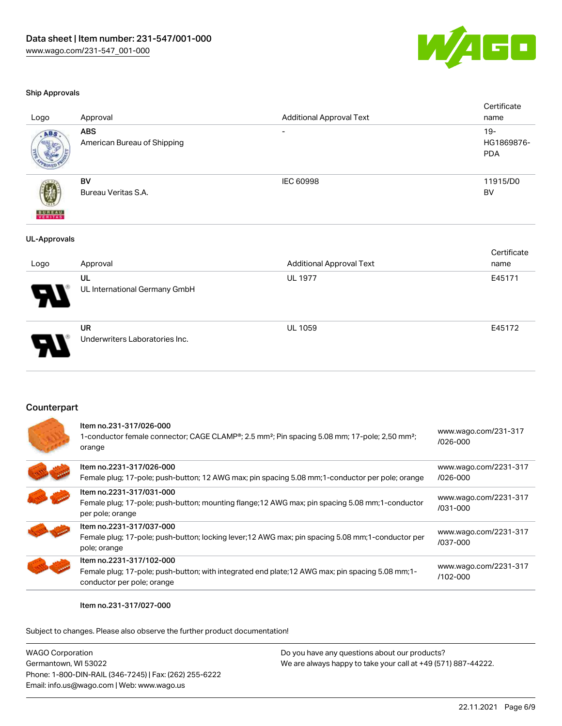

UL 1059 E45172

#### Ship Approvals

| Logo                     | Approval                                  | <b>Additional Approval Text</b> | Certificate<br>name                |
|--------------------------|-------------------------------------------|---------------------------------|------------------------------------|
| ABS                      | <b>ABS</b><br>American Bureau of Shipping |                                 | $19 -$<br>HG1869876-<br><b>PDA</b> |
| <b>BUREAU</b><br>VERITAS | BV<br>Bureau Veritas S.A.                 | <b>IEC 60998</b>                | 11915/D0<br>BV                     |
| <b>UL-Approvals</b>      |                                           |                                 | Certificate                        |
| Logo                     | Approval                                  | <b>Additional Approval Text</b> | name                               |
|                          | UL<br>UL International Germany GmbH       | <b>UL 1977</b>                  | E45171                             |

UR Underwriters Laboratories Inc.

## Counterpart

| Item no.2231-317/026-000<br>www.wago.com/2231-317<br>Female plug; 17-pole; push-button; 12 AWG max; pin spacing 5.08 mm; 1-conductor per pole; orange<br>$1026 - 000$<br>Item no.2231-317/031-000<br>www.wago.com/2231-317<br>Female plug; 17-pole; push-button; mounting flange; 12 AWG max; pin spacing 5.08 mm; 1-conductor<br>/031-000<br>per pole; orange<br>Item no.2231-317/037-000<br>www.wago.com/2231-317<br>Female plug; 17-pole; push-button; locking lever; 12 AWG max; pin spacing 5.08 mm; 1-conductor per<br>/037-000<br>pole; orange<br>Item no.2231-317/102-000<br>www.wago.com/2231-317<br>Female plug; 17-pole; push-button; with integrated end plate; 12 AWG max; pin spacing 5.08 mm; 1-<br>$/102 - 000$<br>conductor per pole; orange | Item no.231-317/026-000<br>1-conductor female connector; CAGE CLAMP <sup>®</sup> ; 2.5 mm <sup>2</sup> ; Pin spacing 5.08 mm; 17-pole; 2,50 mm <sup>2</sup> ;<br>orange | www.wago.com/231-317<br>$/026 - 000$ |
|---------------------------------------------------------------------------------------------------------------------------------------------------------------------------------------------------------------------------------------------------------------------------------------------------------------------------------------------------------------------------------------------------------------------------------------------------------------------------------------------------------------------------------------------------------------------------------------------------------------------------------------------------------------------------------------------------------------------------------------------------------------|-------------------------------------------------------------------------------------------------------------------------------------------------------------------------|--------------------------------------|
|                                                                                                                                                                                                                                                                                                                                                                                                                                                                                                                                                                                                                                                                                                                                                               |                                                                                                                                                                         |                                      |
|                                                                                                                                                                                                                                                                                                                                                                                                                                                                                                                                                                                                                                                                                                                                                               |                                                                                                                                                                         |                                      |
|                                                                                                                                                                                                                                                                                                                                                                                                                                                                                                                                                                                                                                                                                                                                                               |                                                                                                                                                                         |                                      |
|                                                                                                                                                                                                                                                                                                                                                                                                                                                                                                                                                                                                                                                                                                                                                               |                                                                                                                                                                         |                                      |

#### Item no.231-317/027-000

| <b>WAGO Corporation</b>                                | Do you have any questions about our products?                 |
|--------------------------------------------------------|---------------------------------------------------------------|
| Germantown, WI 53022                                   | We are always happy to take your call at +49 (571) 887-44222. |
| Phone: 1-800-DIN-RAIL (346-7245)   Fax: (262) 255-6222 |                                                               |
| Email: info.us@wago.com   Web: www.wago.us             |                                                               |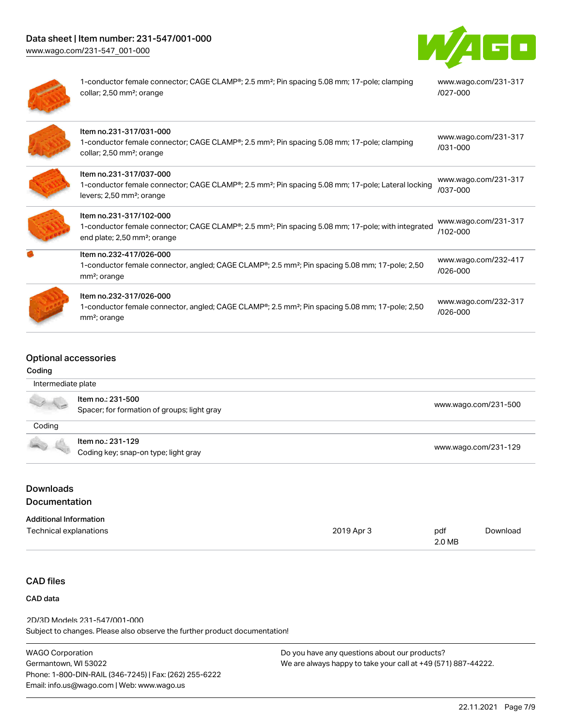[www.wago.com/231-547\\_001-000](http://www.wago.com/231-547_001-000)



| 1-conductor female connector; CAGE CLAMP <sup>®</sup> ; 2.5 mm <sup>2</sup> ; Pin spacing 5.08 mm; 17-pole; clamping<br>collar; 2,50 mm <sup>2</sup> ; orange                                      | www.wago.com/231-317<br>/027-000     |
|----------------------------------------------------------------------------------------------------------------------------------------------------------------------------------------------------|--------------------------------------|
| Item no.231-317/031-000<br>1-conductor female connector; CAGE CLAMP <sup>®</sup> ; 2.5 mm <sup>2</sup> ; Pin spacing 5.08 mm; 17-pole; clamping<br>collar; 2,50 mm <sup>2</sup> ; orange           | www.wago.com/231-317<br>$/031 - 000$ |
| Item no.231-317/037-000<br>1-conductor female connector; CAGE CLAMP <sup>®</sup> ; 2.5 mm <sup>2</sup> ; Pin spacing 5.08 mm; 17-pole; Lateral locking<br>levers; 2,50 mm <sup>2</sup> ; orange    | www.wago.com/231-317<br>/037-000     |
| Item no.231-317/102-000<br>1-conductor female connector; CAGE CLAMP <sup>®</sup> ; 2.5 mm <sup>2</sup> ; Pin spacing 5.08 mm; 17-pole; with integrated<br>end plate; 2,50 mm <sup>2</sup> ; orange | www.wago.com/231-317<br>/102-000     |
| Item no.232-417/026-000<br>1-conductor female connector, angled; CAGE CLAMP®; 2.5 mm <sup>2</sup> ; Pin spacing 5.08 mm; 17-pole; 2,50<br>mm <sup>2</sup> ; orange                                 | www.wago.com/232-417<br>/026-000     |
| Item no.232-317/026-000<br>1-conductor female connector, angled; CAGE CLAMP®; 2.5 mm <sup>2</sup> ; Pin spacing 5.08 mm; 17-pole; 2,50<br>mm <sup>2</sup> ; orange                                 | www.wago.com/232-317<br>/026-000     |

# Optional accessories

#### Coding

| Intermediate plate |                                                                  |                      |
|--------------------|------------------------------------------------------------------|----------------------|
|                    | Item no.: 231-500<br>Spacer; for formation of groups; light gray | www.wago.com/231-500 |
| Coding             |                                                                  |                      |
|                    | Item no.: 231-129                                                | www.wago.com/231-129 |
|                    | Coding key; snap-on type; light gray                             |                      |

# Documentation

| <b>Additional Information</b> |            |        |          |
|-------------------------------|------------|--------|----------|
| Technical explanations        | 2019 Apr 3 | pdf    | Download |
|                               |            | 2.0 MB |          |

# CAD files

## CAD data

Subject to changes. Please also observe the further product documentation! 2D/3D Models 231-547/001-000

| WAGO Corporation                                       |
|--------------------------------------------------------|
| Germantown. WI 53022                                   |
| Phone: 1-800-DIN-RAIL (346-7245)   Fax: (262) 255-6222 |
| Email: info.us@wago.com   Web: www.wago.us             |
|                                                        |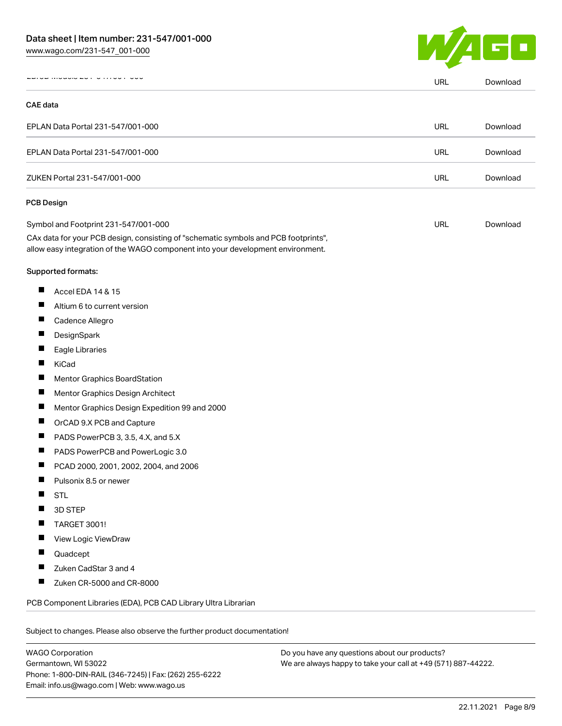

|                                                                                                                                                                        | URL        | Download |
|------------------------------------------------------------------------------------------------------------------------------------------------------------------------|------------|----------|
| <b>CAE</b> data                                                                                                                                                        |            |          |
| EPLAN Data Portal 231-547/001-000                                                                                                                                      | <b>URL</b> | Download |
| EPLAN Data Portal 231-547/001-000                                                                                                                                      | URL        | Download |
| ZUKEN Portal 231-547/001-000                                                                                                                                           | <b>URL</b> | Download |
| <b>PCB Design</b>                                                                                                                                                      |            |          |
| Symbol and Footprint 231-547/001-000                                                                                                                                   | URL        | Download |
| CAx data for your PCB design, consisting of "schematic symbols and PCB footprints",<br>allow easy integration of the WAGO component into your development environment. |            |          |
| Supported formats:                                                                                                                                                     |            |          |
| ш<br>Accel EDA 14 & 15                                                                                                                                                 |            |          |
| ш<br>Altium 6 to current version                                                                                                                                       |            |          |
| ш<br>Cadence Allegro                                                                                                                                                   |            |          |
| ш<br>DesignSpark                                                                                                                                                       |            |          |
| Ш<br>Eagle Libraries                                                                                                                                                   |            |          |
| Ш<br>KiCad                                                                                                                                                             |            |          |
| Ш<br>Mentor Graphics BoardStation                                                                                                                                      |            |          |
| ш<br>Mentor Graphics Design Architect                                                                                                                                  |            |          |
| ш<br>Mentor Graphics Design Expedition 99 and 2000                                                                                                                     |            |          |
| Ш<br>OrCAD 9.X PCB and Capture                                                                                                                                         |            |          |
| П<br>PADS PowerPCB 3, 3.5, 4.X, and 5.X                                                                                                                                |            |          |
| ш<br>PADS PowerPCB and PowerLogic 3.0                                                                                                                                  |            |          |
| ш<br>PCAD 2000, 2001, 2002, 2004, and 2006                                                                                                                             |            |          |
| Pulsonix 8.5 or newer<br>ш                                                                                                                                             |            |          |
| <b>STL</b>                                                                                                                                                             |            |          |
| 3D STEP                                                                                                                                                                |            |          |
| <b>TARGET 3001!</b>                                                                                                                                                    |            |          |
| View Logic ViewDraw<br>ш                                                                                                                                               |            |          |
| Quadcept                                                                                                                                                               |            |          |
| Zuken CadStar 3 and 4                                                                                                                                                  |            |          |
| ш<br>Zuken CR-5000 and CR-8000                                                                                                                                         |            |          |
| PCB Component Libraries (EDA), PCB CAD Library Ultra Librarian                                                                                                         |            |          |
|                                                                                                                                                                        |            |          |
| Subject to changes. Please also observe the further product documentation!                                                                                             |            |          |

WAGO Corporation Germantown, WI 53022 Phone: 1-800-DIN-RAIL (346-7245) | Fax: (262) 255-6222 Email: info.us@wago.com | Web: www.wago.us